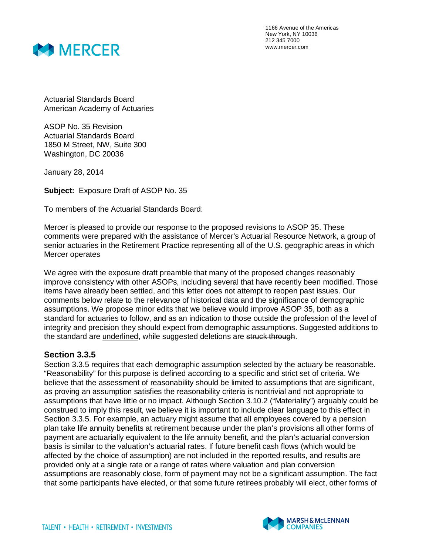

1166 Avenue of the Americas New York, NY 10036 212 345 7000 www.mercer.com

Actuarial Standards Board American Academy of Actuaries

ASOP No. 35 Revision Actuarial Standards Board 1850 M Street, NW, Suite 300 Washington, DC 20036

January 28, 2014

**Subject:** Exposure Draft of ASOP No. 35

To members of the Actuarial Standards Board:

Mercer is pleased to provide our response to the proposed revisions to ASOP 35. These comments were prepared with the assistance of Mercer's Actuarial Resource Network, a group of senior actuaries in the Retirement Practice representing all of the U.S. geographic areas in which Mercer operates

We agree with the exposure draft preamble that many of the proposed changes reasonably improve consistency with other ASOPs, including several that have recently been modified. Those items have already been settled, and this letter does not attempt to reopen past issues. Our comments below relate to the relevance of historical data and the significance of demographic assumptions. We propose minor edits that we believe would improve ASOP 35, both as a standard for actuaries to follow, and as an indication to those outside the profession of the level of integrity and precision they should expect from demographic assumptions. Suggested additions to the standard are underlined, while suggested deletions are struck through.

## **Section 3.3.5**

Section 3.3.5 requires that each demographic assumption selected by the actuary be reasonable. "Reasonability" for this purpose is defined according to a specific and strict set of criteria. We believe that the assessment of reasonability should be limited to assumptions that are significant, as proving an assumption satisfies the reasonability criteria is nontrivial and not appropriate to assumptions that have little or no impact. Although Section 3.10.2 ("Materiality") arguably could be construed to imply this result, we believe it is important to include clear language to this effect in Section 3.3.5. For example, an actuary might assume that all employees covered by a pension plan take life annuity benefits at retirement because under the plan's provisions all other forms of payment are actuarially equivalent to the life annuity benefit, and the plan's actuarial conversion basis is similar to the valuation's actuarial rates. If future benefit cash flows (which would be affected by the choice of assumption) are not included in the reported results, and results are provided only at a single rate or a range of rates where valuation and plan conversion assumptions are reasonably close, form of payment may not be a significant assumption. The fact that some participants have elected, or that some future retirees probably will elect, other forms of

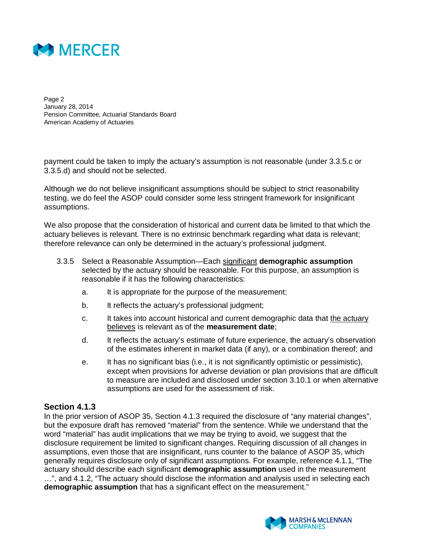

Page 2 January 28, 2014 Pension Committee, Actuarial Standards Board American Academy of Actuaries

payment could be taken to imply the actuary's assumption is not reasonable (under 3.3.5.c or 3.3.5.d) and should not be selected.

Although we do not believe insignificant assumptions should be subject to strict reasonability testing, we do feel the ASOP could consider some less stringent framework for insignificant assumptions.

We also propose that the consideration of historical and current data be limited to that which the actuary believes is relevant. There is no extrinsic benchmark regarding what data is relevant; therefore relevance can only be determined in the actuary's professional judgment.

- 3.3.5 Select a Reasonable Assumption—Each significant **demographic assumption** selected by the actuary should be reasonable. For this purpose, an assumption is reasonable if it has the following characteristics:
	- a. It is appropriate for the purpose of the measurement;
	- b. It reflects the actuary's professional judgment;
	- c. It takes into account historical and current demographic data that the actuary believes is relevant as of the **measurement date**;
	- d. It reflects the actuary's estimate of future experience, the actuary's observation of the estimates inherent in market data (if any), or a combination thereof; and
	- e. It has no significant bias (i.e., it is not significantly optimistic or pessimistic), except when provisions for adverse deviation or plan provisions that are difficult to measure are included and disclosed under section 3.10.1 or when alternative assumptions are used for the assessment of risk.

## **Section 4.1.3**

In the prior version of ASOP 35, Section 4.1.3 required the disclosure of "any material changes", but the exposure draft has removed "material" from the sentence. While we understand that the word "material" has audit implications that we may be trying to avoid, we suggest that the disclosure requirement be limited to significant changes. Requiring discussion of all changes in assumptions, even those that are insignificant, runs counter to the balance of ASOP 35, which generally requires disclosure only of significant assumptions. For example, reference 4.1.1, "The actuary should describe each significant **demographic assumption** used in the measurement …", and 4.1.2, "The actuary should disclose the information and analysis used in selecting each **demographic assumption** that has a significant effect on the measurement."